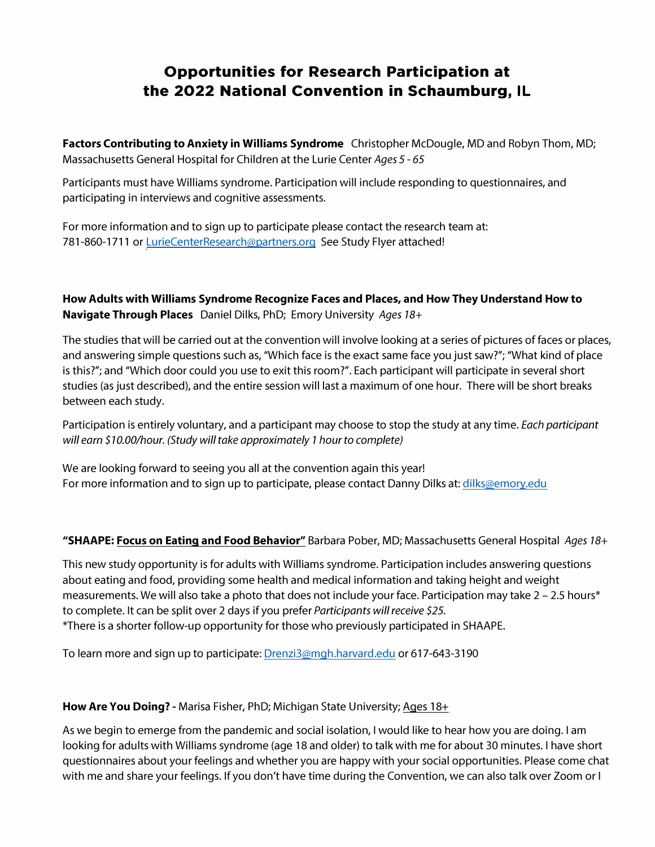## **Opportunities for Research Participation at the 2022 National Convention in Schaumburg, IL**

**Factors Contributing to Anxiety in Williams Syndrome** Christopher McDougle, MD and Robyn Thom, MD; Massachusetts General Hospital for Children at the Lurie Center *Ages 5* - *65* 

Participants must have Williams syndrome. Participation will include responding to questionnaires, and participating in interviews and cognitive assessments.

For more information and to sign up to participate please contact the research team at: 781-860-1711 or [LurieCenterResearch@partners.org](mailto:LurieCenterResearch@partners.org) See Study Flyer attached!

**How Adults with Williams Syndrome Recognize Faces and Places, and How They Understand How to Navigate Through Places** Daniel Dilks, PhD; Emory University *Ages 18+* 

The studies that will be carried out at the convention will involve looking at a series of pictures of faces or places, and answering simple questions such as, "Which face is the exact same face you just saw?"; "What kind of place is this?"; and "Which door could you use to exit this room?". Each participant will participate in several short studies (as just described), and the entire session will last a maximum of one hour. There will be short breaks between each study.

Participation is entirely voluntary, and a participant may choose to stop the study at any time. *Each participant will earn \$10.00/hour. (Study will take approximately 1 hour to complete)* 

We are looking forward to seeing you all at the convention again this year! For more information and to sign up to participate, please contact Danny Dilks at: dilks@emory.edu

## **"SHAAPE: Focus on Eating and Food Behavior"** Barbara Pober, MD; Massachusetts General Hospital *Ages 18+*

This new study opportunity is for adults with Williams syndrome. Participation includes answering questions about eating and food, providing some health and medical information and taking height and weight measurements. We will also take a photo that does not include your face. Participation may take  $2 - 2.5$  hours\* to complete. It can be split over 2 days if you prefer *Participants will receive \$25.*  \*There is a shorter follow-up opportunity for those who previously participated in SHAAPE.

To learn more and sign up to participate: Drenzi3@mgh.harvard.edu or 617-643-3190

## **How Are You Doing?** - Marisa Fisher, PhD; Michigan State University; Ages 18+

As we begin to emerge from the pandemic and social isolation, I would like to hear how you are doing. I am looking for adults with Williams syndrome (age 18 and older) to talk with me for about 30 minutes. I have short questionnaires about your feelings and whether you are happy with your social opportunities. Please come chat with me and share your feelings. If you don't have time during the Convention, we can also talk over Zoom or I